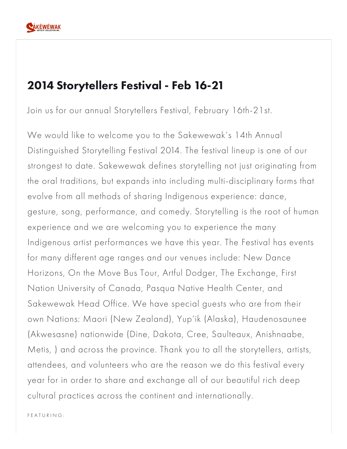

## 2014 Storytellers Festival - Feb 16-21

Join us for our annual Storytellers Festival, February 16th-21st.

We would like to welcome you to the Sakewewak's 14th Annual Distinguished Storytelling Festival 2014. The festival lineup is one of our strongest to date. Sakewewak defines storytelling not just originating from the oral traditions, but expands into including multi-disciplinary forms that evolve from all methods of sharing Indigenous experience: dance, gesture, song, performance, and comedy. Storytelling is the root of human experience and we are welcoming you to experience the many Indigenous artist performances we have this year. The Festival has events for many different age ranges and our venues include: New Dance Horizons, On the Move Bus Tour, Artful Dodger, The Exchange, First Nation University of Canada, Pasqua Native Health Center, and Sakewewak Head Office. We have special guests who are from their own Nations: Maori (New Zealand), Yup'ik (Alaska), Haudenosaunee (Akwesasne) nationwide (Dine, Dakota, Cree, Saulteaux, Anishnaabe, Metis, ) and across the province. Thank you to all the storytellers, artists, attendees, and volunteers who are the reason we do this festival every year for in order to share and exchange all of our beautiful rich deep cultural practices across the continent and internationally.

F E A T U R I N G :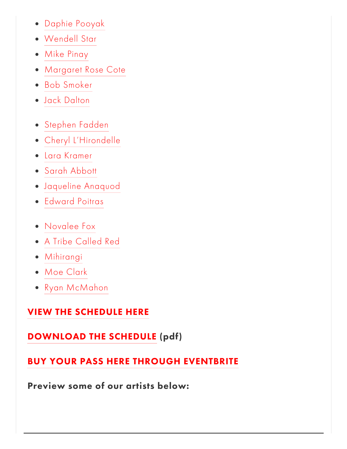- Daphie [Pooyak](https://www.sakewewak.ca/festival-performers/#Daphie_Pooyak)
- [Wendell](https://www.sakewewak.ca/festival-performers/#Wendell_Star) Star
- Mike [Pinay](https://www.sakewewak.ca/festival-performers/#Mike_Pinay)
- [Margaret](https://www.sakewewak.ca/festival-performers/#Margaret_Rose_Cote) Rose Cote
- Bob [Smoker](https://www.sakewewak.ca/festival-performers/#Bob_Smoker)
- Jack [Dalton](https://www.sakewewak.ca/festival-performers/#Jack_Dalton)
- [Stephen](https://www.sakewewak.ca/festival-performers/#Stephen_Fadden) Fadden
- Cheryl [L'Hirondelle](https://www.sakewewak.ca/festival-performers/#Cheryl_LHirondelle)
- Lara [Kramer](https://www.sakewewak.ca/festival-performers/#Lara_Kramer)
- Sarah [Abbott](https://www.sakewewak.ca/festival-performers/#Sarah_Abbott)
- [Jaqueline](https://www.sakewewak.ca/festival-performers/#Jaqueline_Anaquod) Anaquod
- [Edward](https://www.sakewewak.ca/festival-performers/#Edward_Poitras) Poitras
- [Novalee](https://www.sakewewak.ca/festival-performers/#Novalee_Fox) Fox
- A Tribe [Called](https://www.sakewewak.ca/festival-performers/#A_Tribe_Called_Red) Red
- [Mihirangi](https://www.sakewewak.ca/festival-performers/#Mihirangi)
- Moe [Clark](https://www.sakewewak.ca/festival-performers/#Moe_Clark)
- Ryan [McMahon](https://www.sakewewak.ca/festival-performers/#Ryan_McMahon)

## VIEW THE [SCHEDULE](https://www.sakewewak.ca/2014-storytellers-schedule) HERE

## [DOWNLOAD](https://static1.squarespace.com/static/55649e25e4b0b17b146ce514/5564a414e4b033dd54e79db5/5564a414e4b033dd54e79db7/1392862628137/Distinguished_Storytellers_Festival_2014_Schedule.pdf) THE SCHEDULE (pdf)

## BUY YOUR PASS HERE THROUGH [EVENTBRITE](http://t.co/HUuZxwawDK)

Preview some of our artists below: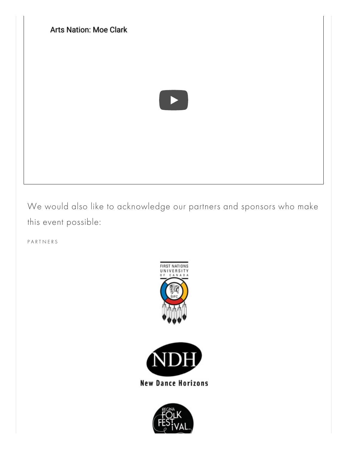[Arts Nation: Moe Clark](https://www.youtube.com/watch?list=PL-jVh3GYMXp5zm3bhLxfwFfMVU5YISgsA&v=t2U6p41-rLc)

We would also like to acknowledge our partners and sponsors who make this event possible:

P A R T N E R S



**New Dance Horizons** 

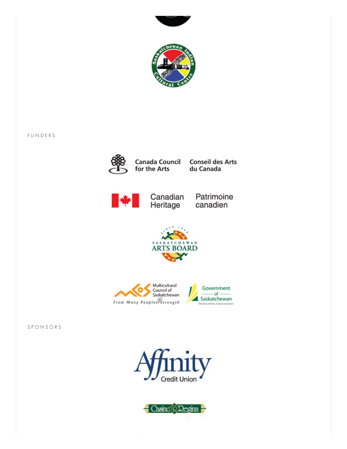



F U N D E R S



for the Arts

Canada Council Conseil des Arts du Canada



Canadian Patrimoine<br>Heritage canadien





S P O N S O R S



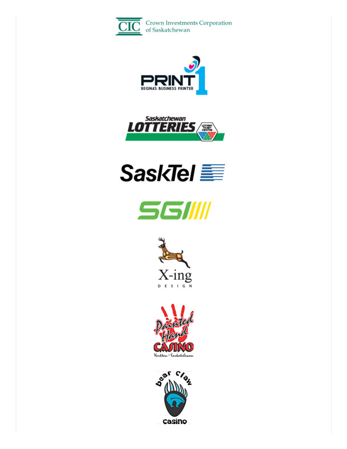